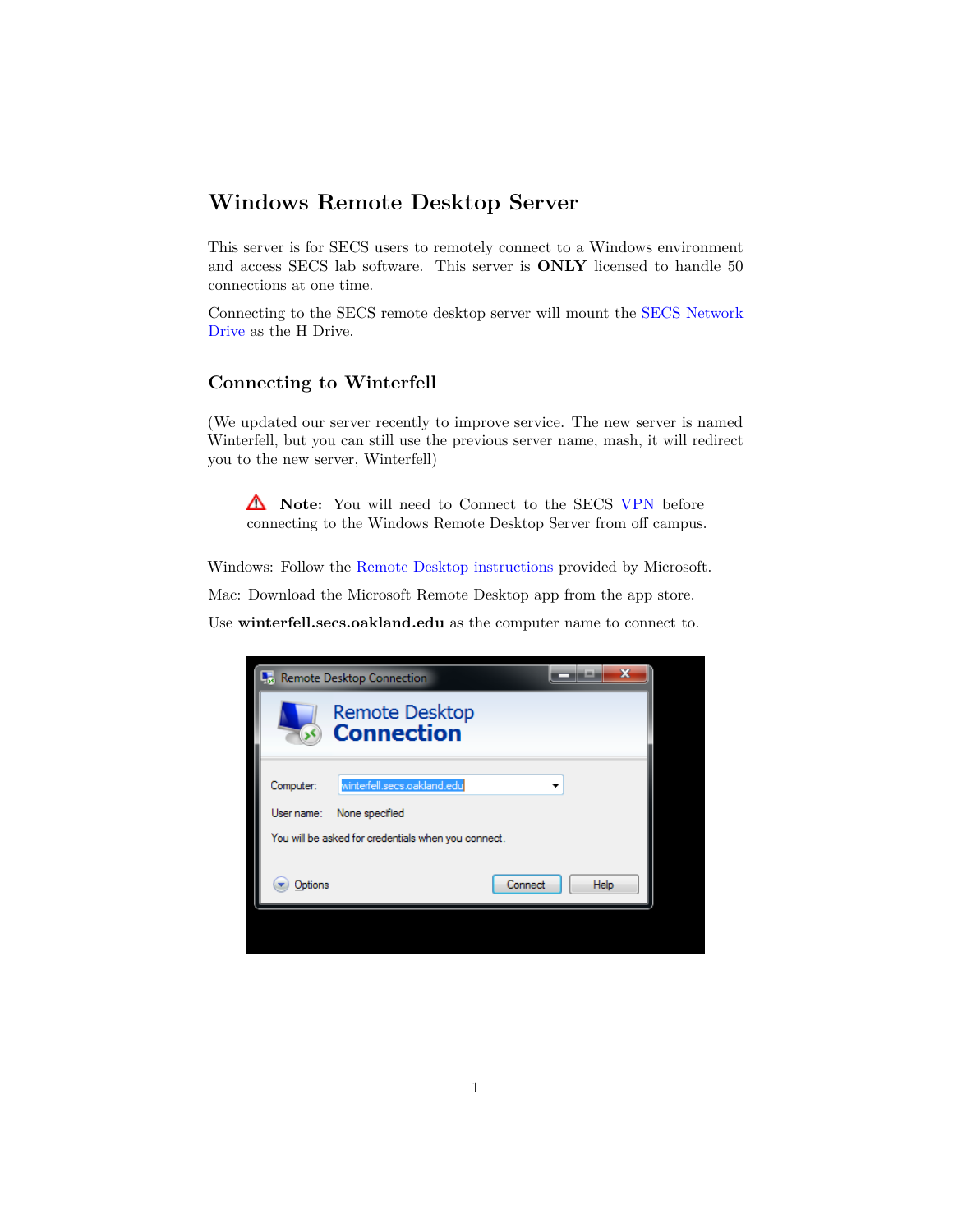## **Windows Remote Desktop Server**

This server is for SECS users to remotely connect to a Windows environment and access SECS lab software. This server is **ONLY** licensed to handle 50 connections at one time.

Connecting to the SECS remote desktop server will mount the [SECS Network](http://secs.oakland.edu/docs/pdf/accessNetworkDrive.pdf) [Drive](http://secs.oakland.edu/docs/pdf/accessNetworkDrive.pdf) as the H Drive.

## **Connecting to Winterfell**

(We updated our server recently to improve service. The new server is named Winterfell, but you can still use the previous server name, mash, it will redirect you to the new server, Winterfell)

**Note:** You will need to Connect to the SECS [VPN](http://secs.oakland.edu/docs/pdf/vpn.pdf) before connecting to the Windows Remote Desktop Server from off campus.

Windows: Follow the [Remote Desktop instructions](http://windows.microsoft.com/en-us/windows/connect-using-remote-desktop-connection#connect-using-remote-desktop-connection=windows-vista) provided by Microsoft.

Mac: Download the Microsoft Remote Desktop app from the app store.

Use **winterfell.secs.oakland.edu** as the computer name to connect to.

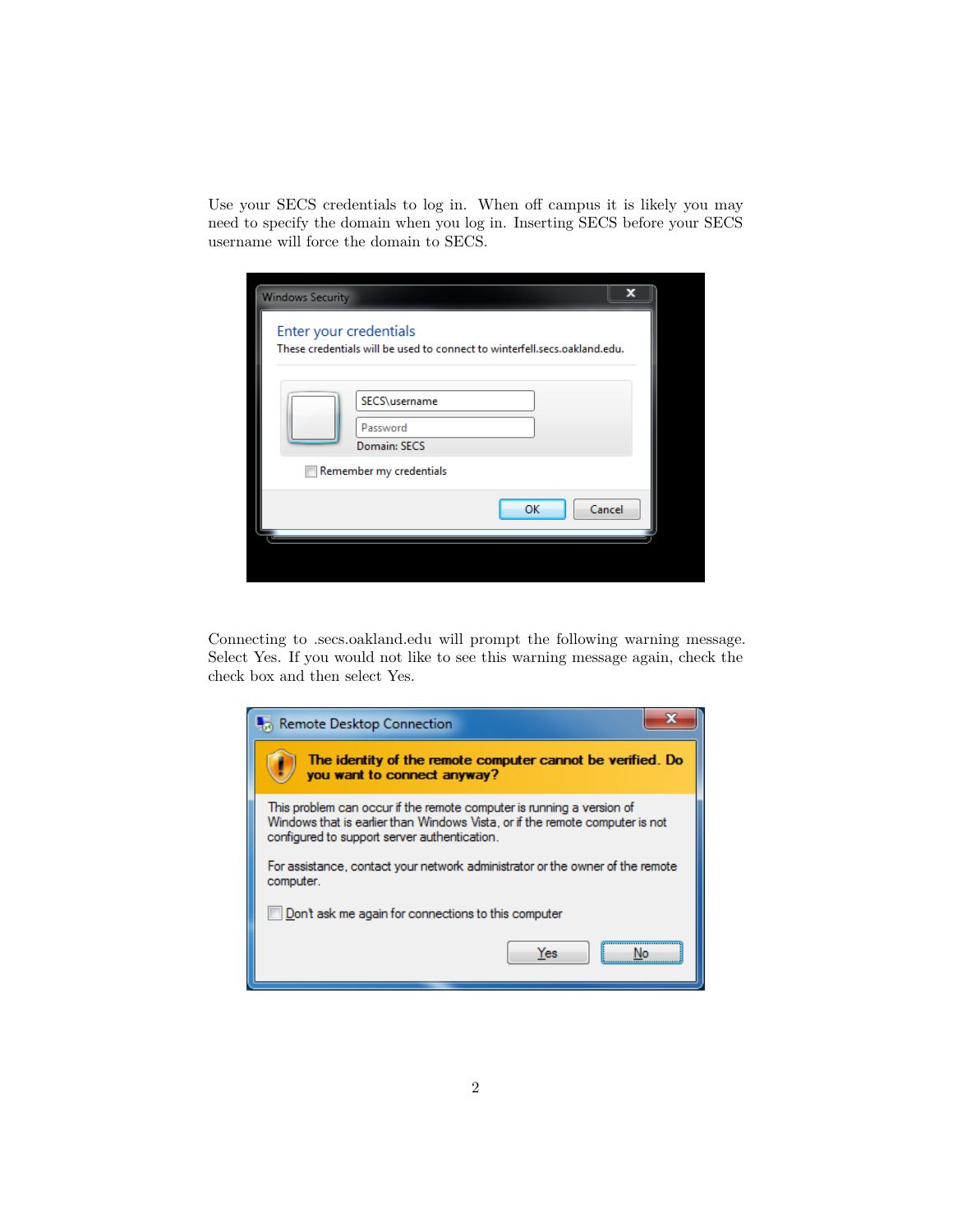Use your SECS credentials to log in. When off campus it is likely you may need to specify the domain when you log in. Inserting SECS before your SECS username will force the domain to SECS.

| <b>Windows Security</b>                                                                                | x |
|--------------------------------------------------------------------------------------------------------|---|
| Enter your credentials<br>These credentials will be used to connect to winterfell, secs, oakland, edu. |   |
| SECS\username<br>Password<br>Domain: SECS                                                              |   |
| Remember my credentials                                                                                |   |
| Cancel<br>OK                                                                                           |   |
|                                                                                                        |   |

Connecting to .secs.oakland.edu will prompt the following warning message. Select Yes. If you would not like to see this warning message again, check the check box and then select Yes.

| Remote Desktop Connection                                                                                                                                                                             |  |
|-------------------------------------------------------------------------------------------------------------------------------------------------------------------------------------------------------|--|
| The identity of the remote computer cannot be verified. Do<br>you want to connect anyway?                                                                                                             |  |
| This problem can occur if the remote computer is running a version of<br>Windows that is earlier than Windows Vista, or if the remote computer is not<br>configured to support server authentication. |  |
| For assistance, contact your network administrator or the owner of the remote<br>computer.                                                                                                            |  |
| Don't ask me again for connections to this computer                                                                                                                                                   |  |
| <b>Yes</b>                                                                                                                                                                                            |  |